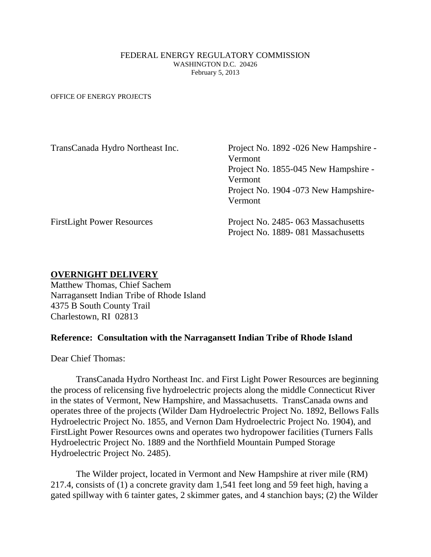## FEDERAL ENERGY REGULATORY COMMISSION WASHINGTON D.C. 20426 February 5, 2013

OFFICE OF ENERGY PROJECTS

| TransCanada Hydro Northeast Inc.  | Project No. 1892 -026 New Hampshire - |
|-----------------------------------|---------------------------------------|
|                                   | Vermont                               |
|                                   | Project No. 1855-045 New Hampshire -  |
|                                   | Vermont                               |
|                                   | Project No. 1904 -073 New Hampshire-  |
|                                   | Vermont                               |
| <b>FirstLight Power Resources</b> | Project No. 2485-063 Massachusetts    |
|                                   | Project No. 1889-081 Massachusetts    |

## **OVERNIGHT DELIVERY**

Matthew Thomas, Chief Sachem Narragansett Indian Tribe of Rhode Island 4375 B South County Trail Charlestown, RI 02813

## **Reference: Consultation with the Narragansett Indian Tribe of Rhode Island**

Dear Chief Thomas:

TransCanada Hydro Northeast Inc. and First Light Power Resources are beginning the process of relicensing five hydroelectric projects along the middle Connecticut River in the states of Vermont, New Hampshire, and Massachusetts. TransCanada owns and operates three of the projects (Wilder Dam Hydroelectric Project No. 1892, Bellows Falls Hydroelectric Project No. 1855, and Vernon Dam Hydroelectric Project No. 1904), and FirstLight Power Resources owns and operates two hydropower facilities (Turners Falls Hydroelectric Project No. 1889 and the Northfield Mountain Pumped Storage Hydroelectric Project No. 2485).

The Wilder project, located in Vermont and New Hampshire at river mile (RM) 217.4, consists of (1) a concrete gravity dam 1,541 feet long and 59 feet high, having a gated spillway with 6 tainter gates, 2 skimmer gates, and 4 stanchion bays; (2) the Wilder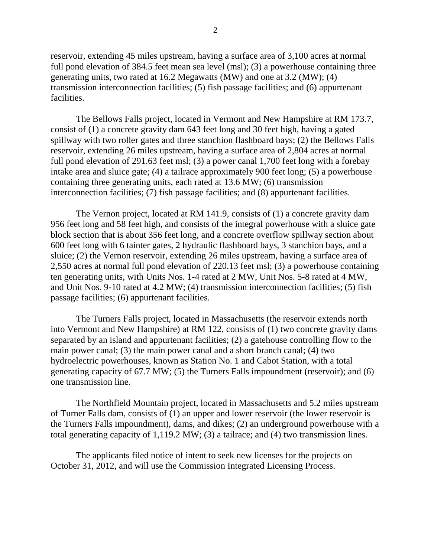reservoir, extending 45 miles upstream, having a surface area of 3,100 acres at normal full pond elevation of 384.5 feet mean sea level (msl); (3) a powerhouse containing three generating units, two rated at 16.2 Megawatts (MW) and one at 3.2 (MW); (4) transmission interconnection facilities; (5) fish passage facilities; and (6) appurtenant facilities.

The Bellows Falls project, located in Vermont and New Hampshire at RM 173.7, consist of (1) a concrete gravity dam 643 feet long and 30 feet high, having a gated spillway with two roller gates and three stanchion flashboard bays; (2) the Bellows Falls reservoir, extending 26 miles upstream, having a surface area of 2,804 acres at normal full pond elevation of 291.63 feet msl; (3) a power canal 1,700 feet long with a forebay intake area and sluice gate; (4) a tailrace approximately 900 feet long; (5) a powerhouse containing three generating units, each rated at 13.6 MW; (6) transmission interconnection facilities; (7) fish passage facilities; and (8) appurtenant facilities.

The Vernon project, located at RM 141.9, consists of (1) a concrete gravity dam 956 feet long and 58 feet high, and consists of the integral powerhouse with a sluice gate block section that is about 356 feet long, and a concrete overflow spillway section about 600 feet long with 6 tainter gates, 2 hydraulic flashboard bays, 3 stanchion bays, and a sluice; (2) the Vernon reservoir, extending 26 miles upstream, having a surface area of 2,550 acres at normal full pond elevation of 220.13 feet msl; (3) a powerhouse containing ten generating units, with Units Nos. 1-4 rated at 2 MW, Unit Nos. 5-8 rated at 4 MW, and Unit Nos. 9-10 rated at 4.2 MW; (4) transmission interconnection facilities; (5) fish passage facilities; (6) appurtenant facilities.

The Turners Falls project, located in Massachusetts (the reservoir extends north into Vermont and New Hampshire) at RM 122, consists of (1) two concrete gravity dams separated by an island and appurtenant facilities; (2) a gatehouse controlling flow to the main power canal; (3) the main power canal and a short branch canal; (4) two hydroelectric powerhouses, known as Station No. 1 and Cabot Station, with a total generating capacity of 67.7 MW; (5) the Turners Falls impoundment (reservoir); and (6) one transmission line.

The Northfield Mountain project, located in Massachusetts and 5.2 miles upstream of Turner Falls dam, consists of (1) an upper and lower reservoir (the lower reservoir is the Turners Falls impoundment), dams, and dikes; (2) an underground powerhouse with a total generating capacity of 1,119.2 MW; (3) a tailrace; and (4) two transmission lines.

The applicants filed notice of intent to seek new licenses for the projects on October 31, 2012, and will use the Commission Integrated Licensing Process.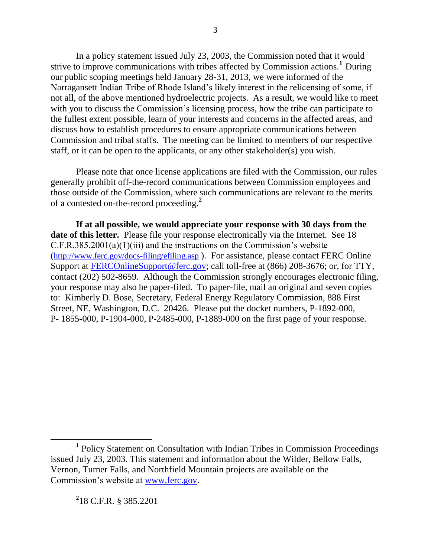In a policy statement issued July 23, 2003, the Commission noted that it would strive to improve communications with tribes affected by Commission actions.<sup>1</sup> During our public scoping meetings held January 28-31, 2013, we were informed of the Narragansett Indian Tribe of Rhode Island's likely interest in the relicensing of some, if not all, of the above mentioned hydroelectric projects. As a result, we would like to meet with you to discuss the Commission's licensing process, how the tribe can participate to the fullest extent possible, learn of your interests and concerns in the affected areas, and discuss how to establish procedures to ensure appropriate communications between Commission and tribal staffs. The meeting can be limited to members of our respective staff, or it can be open to the applicants, or any other stakeholder(s) you wish.

Please note that once license applications are filed with the Commission, our rules generally prohibit off-the-record communications between Commission employees and those outside of the Commission, where such communications are relevant to the merits of a contested on-the-record proceeding.**<sup>2</sup>**

**If at all possible, we would appreciate your response with 30 days from the date of this letter.** Please file your response electronically via the Internet. See 18 C.F.R.385.2001(a)(1)(iii) and the instructions on the Commission's website (<http://www.ferc.gov/docs-filing/efiling.asp> ). For assistance, please contact FERC Online Support at [FERCOnlineSupport@ferc.gov;](mailto:FERCOnlineSupport@ferc.gov) call toll-free at (866) 208-3676; or, for TTY, contact (202) 502-8659. Although the Commission strongly encourages electronic filing, your response may also be paper-filed. To paper-file, mail an original and seven copies to: Kimberly D. Bose, Secretary, Federal Energy Regulatory Commission, 888 First Street, NE, Washington, D.C. 20426. Please put the docket numbers, P-1892-000, P- 1855-000, P-1904-000, P-2485-000, P-1889-000 on the first page of your response.

**2** 18 C.F.R. § 385.2201

 $\overline{a}$ 

<sup>&</sup>lt;sup>1</sup> Policy Statement on Consultation with Indian Tribes in Commission Proceedings issued July 23, 2003. This statement and information about the Wilder, Bellow Falls, Vernon, Turner Falls, and Northfield Mountain projects are available on the Commission's website at [www.ferc.gov.](http://www.ferc.gov/)